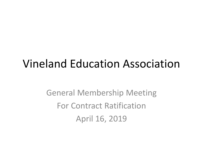### Vineland Education Association

General Membership Meeting For Contract Ratification April 16, 2019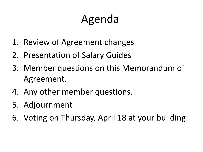# Agenda

- 1. Review of Agreement changes
- 2. Presentation of Salary Guides
- 3. Member questions on this Memorandum of Agreement.
- 4. Any other member questions.
- 5. Adjournment
- 6. Voting on Thursday, April 18 at your building.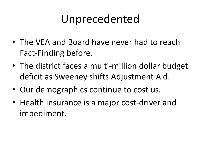### Unprecedented

- The VEA and Board have never had to reach Fact-Finding before.
- The district faces a multi-million dollar budget deficit as Sweeney shifts Adjustment Aid.
- Our demographics continue to cost us.
- Health insurance is a major cost-driver and impediment.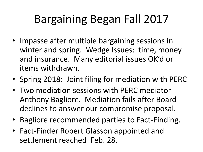# Bargaining Began Fall 2017

- Impasse after multiple bargaining sessions in winter and spring. Wedge Issues: time, money and insurance. Many editorial issues OK'd or items withdrawn.
- Spring 2018: Joint filing for mediation with PERC
- Two mediation sessions with PERC mediator Anthony Bagliore. Mediation fails after Board declines to answer our compromise proposal.
- Bagliore recommended parties to Fact-Finding.
- Fact-Finder Robert Glasson appointed and settlement reached Feb. 28.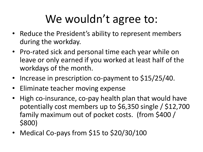# We wouldn't agree to:

- Reduce the President's ability to represent members during the workday.
- Pro-rated sick and personal time each year while on leave or only earned if you worked at least half of the workdays of the month.
- Increase in prescription co-payment to \$15/25/40.
- Eliminate teacher moving expense
- High co-insurance, co-pay health plan that would have potentially cost members up to \$6,350 single / \$12,700 family maximum out of pocket costs. (from \$400 / \$800)
- Medical Co-pays from \$15 to \$20/30/100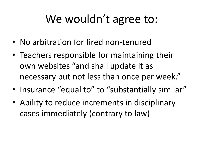### We wouldn't agree to:

- No arbitration for fired non-tenured
- Teachers responsible for maintaining their own websites "and shall update it as necessary but not less than once per week."
- Insurance "equal to" to "substantially similar"
- Ability to reduce increments in disciplinary cases immediately (contrary to law)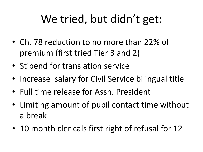# We tried, but didn't get:

- Ch. 78 reduction to no more than 22% of premium (first tried Tier 3 and 2)
- Stipend for translation service
- Increase salary for Civil Service bilingual title
- Full time release for Assn. President
- Limiting amount of pupil contact time without a break
- 10 month clericals first right of refusal for 12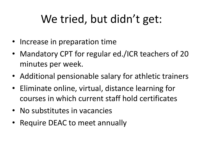# We tried, but didn't get:

- Increase in preparation time
- Mandatory CPT for regular ed./ICR teachers of 20 minutes per week.
- Additional pensionable salary for athletic trainers
- Eliminate online, virtual, distance learning for courses in which current staff hold certificates
- No substitutes in vacancies
- Require DEAC to meet annually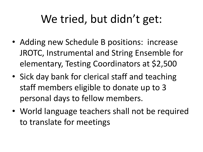### We tried, but didn't get:

- Adding new Schedule B positions: increase JROTC, Instrumental and String Ensemble for elementary, Testing Coordinators at \$2,500
- Sick day bank for clerical staff and teaching staff members eligible to donate up to 3 personal days to fellow members.
- World language teachers shall not be required to translate for meetings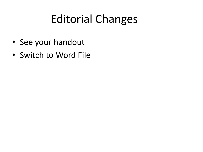# Editorial Changes

- See your handout
- Switch to Word File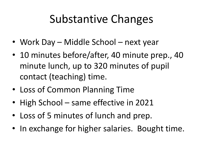### Substantive Changes

- Work Day Middle School next year
- 10 minutes before/after, 40 minute prep., 40 minute lunch, up to 320 minutes of pupil contact (teaching) time.
- Loss of Common Planning Time
- High School same effective in 2021
- Loss of 5 minutes of lunch and prep.
- In exchange for higher salaries. Bought time.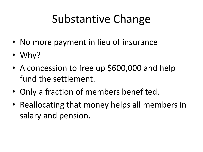# Substantive Change

- No more payment in lieu of insurance
- Why?
- A concession to free up \$600,000 and help fund the settlement.
- Only a fraction of members benefited.
- Reallocating that money helps all members in salary and pension.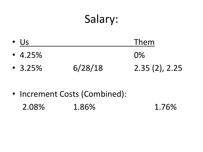### Salary:

| $\bullet$ Us  |         | Them          |
|---------------|---------|---------------|
| • $4.25%$     |         | $\Omega\%$    |
| $\cdot$ 3.25% | 6/28/18 | 2.35(2), 2.25 |

#### • Increment Costs (Combined): 2.08% 1.86% 1.76%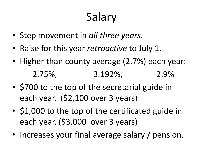# Salary

- Step movement in *all three years*.
- Raise for this year *retroactive* to July 1.
- Higher than county average (2.7%) each year: 2.75%, 3.192%, 2.9%
- \$700 to the top of the secretarial guide in each year. (\$2,100 over 3 years)
- \$1,000 to the top of the certificated guide in each year. (\$3,000 over 3 years)
- Increases your final average salary / pension.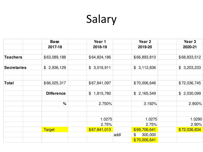# Salary

|                    | <b>Base</b>                 | Year 1                      |      | Year 2        | Year 3       |
|--------------------|-----------------------------|-----------------------------|------|---------------|--------------|
|                    | 2017-18                     | 2018-19                     |      | 2019-20       | 2020-21      |
|                    |                             |                             |      |               |              |
| <b>Teachers</b>    | \$63,089,188                | \$64,824,186                |      | \$66,893,810  | \$68,833,512 |
|                    |                             |                             |      |               |              |
| <b>Secretaries</b> | $\mathfrak{F}$<br>2,936,129 | \$3,016,911                 |      | \$3,112,836   | \$3,203,233  |
|                    |                             |                             |      |               |              |
| <b>Total</b>       | \$66,025,317                | \$67,841,097                |      | \$70,006,646  | \$72,036,745 |
|                    | <b>Difference</b>           | 1,815,780<br>$\mathfrak{F}$ |      | \$2,165,549   | \$2,030,099  |
|                    | $\frac{1}{2}$               | 2.750%                      |      | 3.192%        | 2.900%       |
|                    |                             |                             |      |               |              |
|                    |                             | 1.0275                      |      | 1.0275        | 1.0290       |
|                    |                             | 2.75%                       |      | 2.75%         | 2.90%        |
|                    | <b>Target</b>               | \$67,841,013                |      | \$69,706,641  | \$72,036,834 |
|                    |                             |                             | addl | \$<br>300,000 |              |
|                    |                             |                             |      | \$70,006,641  |              |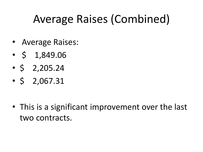# Average Raises (Combined)

- Average Raises:
- $\cdot$  \$ 1,849.06
- $\cdot$  \$ 2,205.24
- $\cdot$  \$ 2,067.31

• This is a significant improvement over the last two contracts.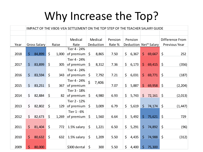### Why Increase the Top?

|      |              |              |         |       |              |                    |           | IMPACT OF THE VBOE-VEA SETTLEMENT ON THE TOP STEP OF THE TEACHER SALARY GUIDE |                    |         |                |                       |         |                 |
|------|--------------|--------------|---------|-------|--------------|--------------------|-----------|-------------------------------------------------------------------------------|--------------------|---------|----------------|-----------------------|---------|-----------------|
|      |              |              |         |       |              |                    |           |                                                                               |                    |         |                |                       |         |                 |
|      |              |              |         |       | Medical      |                    | Medical   | Pension                                                                       |                    | Pension |                |                       |         | Difference From |
| Year |              | Gross Salary |         | Raise | Rate         |                    | Deduction | Rate %                                                                        |                    |         |                | Deduction Net* Salary |         | Previous Year   |
|      |              |              |         |       | Tier 4 - 24% |                    |           |                                                                               |                    |         |                |                       |         |                 |
| 2018 | $\zeta$      | 84,899       | \$      | 1,000 | of premium   | \$                 | 8,865     | 7.50                                                                          | \$                 | 6,367   | \$.            | 69,667                | \$      | 252             |
|      |              |              |         |       | Tier 4 - 24% |                    |           |                                                                               |                    |         |                |                       |         |                 |
| 2017 | $\mathsf{S}$ | 83,899       | $\zeta$ | 305   | of premium   | S.                 | 8,312     | 7.36                                                                          | \$                 | 6,173   | $\mathsf{S}$   | 69,415                | \$      | (356)           |
|      |              |              |         |       | Tier 4 - 24% |                    |           |                                                                               |                    |         |                |                       |         |                 |
| 2016 | $\zeta$      | 83,594       | \$      | 343   | of premium   | \$                 | 7,792     | 7.21                                                                          | $\zeta$            | 6,031   | $\mathsf{S}$   | 69,771                | \$      | (187)           |
|      |              |              |         |       | Tier 4 - 24% |                    |           |                                                                               |                    |         |                |                       |         |                 |
| 2015 | \$           | 83,251       | $\zeta$ | 367   | of premium   | $\mathsf{\dot{S}}$ | 7,406     | 7.07                                                                          | \$                 | 5,887   | \$             | 69,958                | $\zeta$ | (2, 204)        |
|      |              |              |         |       | Tier 3 - 18% |                    |           |                                                                               |                    |         |                |                       |         |                 |
| 2014 | \$           | 82,884       | $\zeta$ | 82    | of premium   | \$                 | 4,980     | 6.93                                                                          | \$                 | 5,743   | $\zeta$        | 72,161                | $\zeta$ | (2,013)         |
|      |              |              |         |       | Tier 2 - 12% |                    |           |                                                                               |                    |         |                |                       |         |                 |
| 2013 | \$           | 82,802       | \$      | 129   | of premium   | \$                 | 3,009     | 6.79                                                                          | $\mathsf{\dot{S}}$ | 5,619   | \$             | 74,174                | $\zeta$ | (1, 447)        |
|      |              |              |         |       | Tier 1 - 6%  |                    |           |                                                                               |                    |         |                |                       |         |                 |
| 2012 | \$           | 82,673       | \$      | 1,269 | of premium   | \$                 | 1,560     | 6.64                                                                          | $\zeta$            | 5,492   | $\mathsf{S}^-$ | 75,621                | \$      | 729             |
|      |              |              |         |       |              |                    |           |                                                                               |                    |         |                |                       |         |                 |
| 2011 | $\mathsf{S}$ | 81,404       | $\zeta$ | 772   | 1.5% salary  | \$                 | 1,221     | 6.50                                                                          | \$                 | 5,291   | \$             | 74,892                | \$      | (96)            |
|      |              |              |         |       |              |                    |           |                                                                               |                    |         |                |                       |         |                 |
| 2010 | $\zeta$      | 80,632       | \$      | 632   | 1.5% salary  | \$                 | 1,209     | 5.50                                                                          | \$                 | 4,435   | \$             | 74,988                | $\zeta$ | (312)           |
|      |              |              |         |       |              |                    |           |                                                                               |                    |         |                |                       |         |                 |
| 2009 | \$           | 80,000       |         |       | \$300 dental | \$                 | 300       | 5.50                                                                          | \$                 | 4,400   | \$             | 75,300                |         |                 |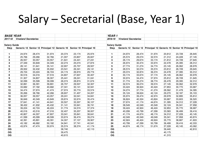### Salary – Secretarial (Base, Year 1)

| <b>BASE YEAR</b>    |                             |        |                                              |        |        |                        | YEAR <sub>1</sub>   |                             |        |                                                                     |        |        |        |
|---------------------|-----------------------------|--------|----------------------------------------------|--------|--------|------------------------|---------------------|-----------------------------|--------|---------------------------------------------------------------------|--------|--------|--------|
| 2017-18             | <b>Vineland Secretaries</b> |        |                                              |        |        |                        | 2018-19             | <b>Vineland Secretaries</b> |        |                                                                     |        |        |        |
| <b>Salary Guide</b> |                             |        |                                              |        |        |                        | <b>Salary Guide</b> |                             |        |                                                                     |        |        |        |
| <b>Step</b>         |                             |        | Generic 12 Senior 12 Principal 12 Generic 10 |        |        | Senior 10 Principal 10 | <b>Step</b>         |                             |        | Generic 12 Senior 12 Principal 12 Generic 10 Senior 10 Principal 10 |        |        |        |
| 1.                  | 24,974                      | 28,474 | 31,974                                       | 20,374 | 23,174 | 25,974                 | $\mathbf{1}$        | 24,974                      | 28,474 | 31,974                                                              | 20,812 | 23,728 | 26,645 |
| 2                   | 25,766                      | 29,266 | 32,766                                       | 21,007 | 23,807 | 26,607                 | $\bf 2$             | 25,574                      | 29,074 | 32,574                                                              | 21,312 | 24,228 | 27,145 |
| 3                   | 26,557                      | 30,057 | 33,557                                       | 21,641 | 24,441 | 27,241                 | 3                   | 26,174                      | 29,674 | 33,174                                                              | 21,812 | 24,728 | 27,645 |
| 4                   | 27,349                      | 30,849 | 34,349                                       | 22,274 | 25,074 | 27,874                 | 4                   | 26,974                      | 30,474 | 33,974                                                              | 22,478 | 25,395 | 28,312 |
| 5                   | 28,141                      | 31,641 | 35,141                                       | 22,907 | 25,707 | 28,507                 | 5                   | 27,774                      | 31,274 | 34,774                                                              | 23,145 | 26,062 | 28,978 |
| 6                   | 28,932                      | 32,432 | 35,932                                       | 23,541 | 26,341 | 29,141                 | 6                   | 28,574                      | 32,074 | 35,574                                                              | 23,812 | 26,728 | 29,645 |
| $\overline{7}$      | 29,724                      | 33,224 | 36,724                                       | 24,174 | 26,974 | 29,774                 | $\overline{7}$      | 29,374                      | 32,874 | 36,374                                                              | 24,478 | 27,395 | 30,312 |
| 8                   | 30,516                      | 34,016 | 37,516                                       | 24,807 | 27,607 | 30,407                 | 8                   | 30,174                      | 33,674 | 37,174                                                              | 25,145 | 28,062 | 30,978 |
| 9                   | 31,307                      | 34,807 | 38,307                                       | 25,441 | 28,241 | 31,041                 | 9                   | 30,974                      | 34,474 | 37,974                                                              | 25,812 | 28,728 | 31,645 |
| 10                  | 32,099                      | 35,599 | 39,099                                       | 26,074 | 28,874 | 31,674                 | ${\bf 10}$          | 31,774                      | 35,274 | 38,774                                                              | 26,478 | 29,395 | 32,312 |
| 11                  | 32,891                      | 36,391 | 39,891                                       | 26,707 | 29,507 | 32,307                 | 11                  | 32,574                      | 36,074 | 39,574                                                              | 27,145 | 30,062 | 32,978 |
| 12                  | 33,682                      | 37,182 | 40,682                                       | 27,341 | 30,141 | 32,941                 | $12$                | 33,424                      | 36,924 | 40,424                                                              | 27,853 | 30,770 | 33,687 |
| 13                  | 34,474                      | 37,974 | 41,474                                       | 27,974 | 30,774 | 33,574                 | 13                  | 34,274                      | 37,774 | 41,274                                                              | 28,562 | 31,478 | 34,395 |
| 14                  | 35,266                      | 38,766 | 42,266                                       | 28,607 | 31,407 | 34,207                 | 14                  | 35,124                      | 38,624 | 42,124                                                              | 29,270 | 32,187 | 35,103 |
| 15                  | 36,057                      | 39,557 | 43,057                                       | 29,241 | 32,041 | 34,841                 | 15                  | 35,974                      | 39,474 | 42,974                                                              | 29,978 | 32,895 | 35,812 |
| 16                  | 36,849                      | 40,349 | 43,849                                       | 29,874 | 32,674 | 35,474                 | 16                  | 36,824                      | 40,324 | 43,824                                                              | 30,687 | 33,603 | 36,520 |
| 17                  | 37,641                      | 41,141 | 44,641                                       | 30,507 | 33,307 | 36,107                 | 17                  | 37,674                      | 41,174 | 44,674                                                              | 31,395 | 34,312 | 37,228 |
| 18                  | 38,432                      | 41,932 | 45,432                                       | 31,141 | 33,941 | 36,741                 | 18                  | 38,549                      | 42,049 | 45,549                                                              | 32,124 | 35,041 | 37,958 |
| 19                  | 39,224                      | 42,724 | 46,224                                       | 31,774 | 34,574 | 37,374                 | 19                  | 39,424                      | 42,924 | 46,424                                                              | 32,853 | 35,770 | 38,687 |
| 20                  | 40,016                      | 43,516 | 47,016                                       | 32,407 | 35,207 | 38,007                 | ${\bf 20}$          | 40,299                      | 43,799 | 47,299                                                              | 33,583 | 36,499 | 39,416 |
| 21                  | 40,807                      | 44,307 | 47,807                                       | 33,041 | 35,841 | 38,641                 | 21                  | 41,174                      | 44,674 | 48,174                                                              | 34,312 | 37,228 | 40,145 |
| 22                  | 41,599                      | 45,099 | 48,599                                       | 33,674 | 36,474 | 39,274                 | 22                  | 42,049                      | 45,549 | 49,049                                                              | 35,041 | 37,958 | 40,874 |
| 23                  | 42,391                      | 45,891 | 49,391                                       | 34,307 | 37,107 | 39,907                 | 23                  | 42,924                      | 46,424 | 49,924                                                              | 35,770 | 38,687 | 41,603 |
| 24                  | 43,182                      | 46,682 | 50,182                                       | 34,941 | 37,741 | 40,541                 | ${\bf 24}$          | 43,799                      | 47,299 | 50,799                                                              | 36,499 | 39,416 | 42,333 |
| 25                  | 43,974                      | 47,474 | 50,974                                       | 35,574 | 38,374 | 41,174                 | 25                  | 44,674                      | 48,174 | 51,674                                                              | 37,228 | 40,145 | 43,062 |
| <b>OG</b>           |                             |        |                                              | 38,740 |        | 42,110                 | OG                  |                             |        |                                                                     | 39,440 |        | 42,810 |
| OG                  |                             |        |                                              | 39,475 |        |                        | OG                  |                             |        |                                                                     | 40,175 |        |        |
| OG                  |                             |        |                                              | 40,615 |        |                        | OG                  |                             |        |                                                                     | 41,315 |        |        |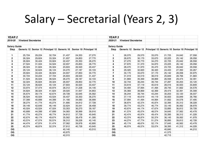### Salary – Secretarial (Years 2, 3)

| <b>YEAR2</b>        |                             |        |        |        |        |                                                                     | YEAR <sub>3</sub>   |                             |        |                                                                     |        |        |        |
|---------------------|-----------------------------|--------|--------|--------|--------|---------------------------------------------------------------------|---------------------|-----------------------------|--------|---------------------------------------------------------------------|--------|--------|--------|
| 2019-20             | <b>Vineland Secretaries</b> |        |        |        |        |                                                                     | 2020-21             | <b>Vineland Secretaries</b> |        |                                                                     |        |        |        |
| <b>Salary Guide</b> |                             |        |        |        |        |                                                                     | <b>Salary Guide</b> |                             |        |                                                                     |        |        |        |
| <b>Step</b>         |                             |        |        |        |        | Generic 12 Senior 12 Principal 12 Generic 10 Senior 10 Principal 10 | <b>Step</b>         |                             |        | Generic 12 Senior 12 Principal 12 Generic 10 Senior 10 Principal 10 |        |        |        |
| 1                   | 25,724                      | 29,224 | 32,724 | 21,437 | 24,353 | 27,270                                                              | $\mathbf{1}$        | 26,070                      | 29,570 | 33,070                                                              | 21,725 | 24,642 | 27,558 |
| $\mathbf 2$         | 26,324                      | 29,824 | 33,324 | 21,937 | 24,853 | 27,770                                                              | $\mathbf 2$         | 26,670                      | 30,170 | 33,670                                                              | 22,225 | 25,142 | 28,058 |
| 3                   | 26,924                      | 30,424 | 33,924 | 22,437 | 25,353 | 28,270                                                              | 3                   | 27,270                      | 30,770 | 34,270                                                              | 22,725 | 25,642 | 28,558 |
| 4                   | 27,524                      | 31,024 | 34,524 | 22,937 | 25,853 | 28,770                                                              | 4                   | 27,870                      | 31,370 | 34,870                                                              | 23,225 | 26,142 | 29,058 |
| 5                   | 28,324                      | 31,824 | 35,324 | 23,603 | 26,520 | 29,437                                                              | 5                   | 28,470                      | 31,970 | 35,470                                                              | 23,725 | 26,642 | 29,558 |
| 6                   | 29,124                      | 32,624 | 36,124 | 24,270 | 27,187 | 30,103                                                              | 6                   | 29,320                      | 32,820 | 36,320                                                              | 24,433 | 27,350 | 30,267 |
| $\overline{7}$      | 29,924                      | 33,424 | 36,924 | 24,937 | 27,853 | 30,770                                                              | $\overline{7}$      | 30,170                      | 33,670 | 37,170                                                              | 25,142 | 28,058 | 30,975 |
| 8                   | 30,724                      | 34,224 | 37,724 | 25,603 | 28,520 | 31,437                                                              | 8                   | 31,019                      | 34,519 | 38,019                                                              | 25,849 | 28,766 | 31,683 |
| 9                   | 31,524                      | 35,024 | 38,524 | 26,270 | 29,187 | 32,103                                                              | 9                   | 31,869                      | 35,369 | 38,869                                                              | 26,558 | 29,474 | 32,391 |
| 10                  | 32,324                      | 35,824 | 39,324 | 26,937 | 29,853 | 32,770                                                              | $10\,$              | 32,744                      | 36,244 | 39,744                                                              | 27,287 | 30,203 | 33,120 |
| 11                  | 33,124                      | 36,624 | 40,124 | 27,603 | 30,520 | 33,437                                                              | 11                  | 33,619                      | 37,119 | 40,619                                                              | 28,016 | 30,933 | 33,849 |
| 12                  | 33,974                      | 37,474 | 40,974 | 28,312 | 31,228 | 34,145                                                              | 12                  | 34,494                      | 37,994 | 41,494                                                              | 28,745 | 31,662 | 34,578 |
| 13                  | 34,824                      | 38,324 | 41,824 | 29,020 | 31,937 | 34,853                                                              | 13                  | 35,369                      | 38,869 | 42,369                                                              | 29,474 | 32,391 | 35,308 |
| 14                  | 35,674                      | 39,174 | 42,674 | 29,728 | 32,645 | 35,562                                                              | 14                  | 36,244                      | 39,744 | 43,244                                                              | 30,203 | 33,120 | 36,037 |
| 15                  | 36,524                      | 40,024 | 43,524 | 30,437 | 33,353 | 36,270                                                              | 15                  | 37,119                      | 40,619 | 44,119                                                              | 30,933 | 33,849 | 36,766 |
| $16$                | 37,399                      | 40,899 | 44,399 | 31,166 | 34,083 | 36,999                                                              | $16\,$              | 37,994                      | 41,494 | 44,994                                                              | 31,662 | 34,578 | 37,495 |
| 17                  | 38,274                      | 41,774 | 45,274 | 31,895 | 34,812 | 37,728                                                              | 17                  | 38,874                      | 42,374 | 45,874                                                              | 32,395 | 35,312 | 38,228 |
| 18                  | 39,149                      | 42,649 | 46,149 | 32,624 | 35,541 | 38,458                                                              | 18                  | 39,774                      | 43,274 | 46,774                                                              | 33,145 | 36,062 | 38,978 |
| 19                  | 40,024                      | 43,524 | 47,024 | 33,353 | 36,270 | 39,187                                                              | 19                  | 40,674                      | 44,174 | 47,674                                                              | 33,895 | 36,812 | 39,728 |
| 20                  | 40,899                      | 44,399 | 47,899 | 34,083 | 36,999 | 39,916                                                              | $20\,$              | 41,574                      | 45,074 | 48,574                                                              | 34,645 | 37,562 | 40,478 |
| 21                  | 41,774                      | 45,274 | 48,774 | 34,812 | 37,728 | 40,645                                                              | 21                  | 42,474                      | 45,974 | 49,474                                                              | 35,395 | 38,312 | 41,228 |
| 22                  | 42,674                      | 46,174 | 49,674 | 35,562 | 38,478 | 41,395                                                              | 22                  | 43,374                      | 46,874 | 50,374                                                              | 36,145 | 39,062 | 41,978 |
| 23                  | 43,574                      | 47,074 | 50,574 | 36,312 | 39,228 | 42,145                                                              | 23                  | 44,274                      | 47,774 | 51,274                                                              | 36,895 | 39,812 | 42,728 |
| 24                  | 44,474                      | 47,974 | 51,474 | 37,062 | 39,978 | 42,895                                                              | 24                  | 45,174                      | 48,674 | 52,174                                                              | 37,645 | 40,562 | 43,478 |
| 25                  | 45,374                      | 48,874 | 52,374 | 37,812 | 40,728 | 43,645                                                              | 25                  | 46,074                      | 49,574 | 53,074                                                              | 38,395 | 41,312 | 44,228 |
| <b>OG</b>           |                             |        |        | 40,140 |        | 43,510                                                              | OG                  |                             |        |                                                                     | 40,840 |        | 44,210 |
| OG                  |                             |        |        | 40,875 |        |                                                                     | OG                  |                             |        |                                                                     | 41,575 |        |        |
| <b>OG</b>           |                             |        |        | 42,015 |        |                                                                     | OG                  |                             |        |                                                                     | 42,715 |        |        |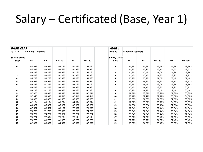### Salary – Certificated (Base, Year 1)

| <b>BASE YEAR</b>    |                          |           |              |        |         | YEAR <sub>1</sub>   |                          |        |              |        |         |
|---------------------|--------------------------|-----------|--------------|--------|---------|---------------------|--------------------------|--------|--------------|--------|---------|
| 2017-18             | <b>Vineland Teachers</b> |           |              |        |         | 2018-19             | <b>Vineland Teachers</b> |        |              |        |         |
| <b>Salary Guide</b> |                          |           |              |        |         | <b>Salary Guide</b> |                          |        |              |        |         |
| Step                | <b>ND</b>                | <b>BA</b> | <b>BA+30</b> | МA     | $MA+30$ | <b>Step</b>         | <b>ND</b>                | BA     | <b>BA+30</b> | MА     | $MA+30$ |
|                     |                          |           |              |        |         |                     |                          |        |              |        |         |
| 0                   | 54,533                   | 55,533    | 56,133       | 57,033 | 58,033  | 0                   | 54,882                   | 55,882 | 56,482       | 57,382 | 58,382  |
| 1                   | 54,883                   | 55,883    | 56,483       | 57,383 | 58,383  |                     | 55,132                   | 56,132 | 56,732       | 57,632 | 58,632  |
| $\mathbf 2$         | 55,233                   | 56,233    | 56,833       | 57,733 | 58,733  | $\mathbf 2$         | 55,482                   | 56,482 | 57,082       | 57,982 | 58,982  |
| 3                   | 55,483                   | 56,483    | 57,083       | 57,983 | 58,983  | 3                   | 55,732                   | 56,732 | 57,332       | 58,232 | 59,232  |
| 4                   | 55,733                   | 56,733    | 57,333       | 58,233 | 59,233  | 4                   | 55,982                   | 56,982 | 57,582       | 58,482 | 59,482  |
| 5                   | 55,983                   | 56,983    | 57,583       | 58,483 | 59,483  | 5                   | 56,232                   | 57,232 | 57,832       | 58,732 | 59,732  |
| 6                   | 56,233                   | 57,233    | 57,833       | 58,733 | 59,733  | 6                   | 56,482                   | 57,482 | 58,082       | 58,982 | 59,982  |
|                     | 56,483                   | 57,483    | 58,083       | 58,983 | 59,983  |                     | 56,732                   | 57,732 | 58,332       | 59,232 | 60,232  |
| 8                   | 56,733                   | 57,733    | 58,333       | 59,233 | 60,233  | 8                   | 56,982                   | 57,982 | 58,582       | 59,482 | 60,482  |
| 9                   | 57,076                   | 58,076    | 58,676       | 59,576 | 60,576  | 9                   | 57,325                   | 58,325 | 58,925       | 59,825 | 60,825  |
| 10                  | 57,946                   | 58,946    | 59,546       | 60,446 | 61,446  | $10\,$              | 58,195                   | 59,195 | 59,795       | 60,695 | 61,695  |
| 11                  | 59,835                   | 60,835    | 61,435       | 62,335 | 63,335  | 11                  | 60,085                   | 61,085 | 61,685       | 62,585 | 63,585  |
| 12                  | 62,124                   | 63,124    | 63,724       | 64,624 | 65,624  | 12                  | 62,375                   | 63,375 | 63,975       | 64,875 | 65,875  |
| 13                  | 64,309                   | 65,309    | 65,909       | 66,809 | 67,809  | 13                  | 64,560                   | 65,560 | 66,160       | 67,060 | 68,060  |
| 14                  | 67,597                   | 68,597    | 69,197       | 70,097 | 71,097  | 14                  | 67,849                   | 68,849 | 69,449       | 70,349 | 71,349  |
| 15                  | 70,793                   | 71,793    | 72,393       | 73,293 | 74,293  | 15                  | 70,849                   | 71,849 | 72,449       | 73,349 | 74,349  |
| 16                  | 73,732                   | 74,732    | 75,332       | 76,232 | 77,232  | 16                  | 73,849                   | 74,849 | 75,449       | 76,349 | 77,349  |
| 17                  | 76,762                   | 77,671    | 78,271       | 79,171 | 80,171  | 17                  | 76,899                   | 77,899 | 78,499       | 79,399 | 80,399  |
| 18                  | 79,788                   | 80,788    | 81,388       | 82,288 | 83,288  | 18                  | 79,999                   | 80,999 | 81,599       | 82,499 | 83,499  |
| 19                  | 82,899                   | 83,899    | 84,499       | 85,399 | 86,399  | 19                  | 83,899                   | 84,899 | 85,499       | 86,399 | 87,399  |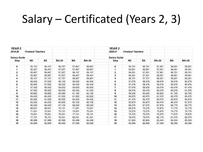### Salary – Certificated (Years 2, 3)

| YEAR <sub>2</sub>   |                          |        |              |        |        | YEAR <sub>3</sub>   |                          |           |              |        |              |
|---------------------|--------------------------|--------|--------------|--------|--------|---------------------|--------------------------|-----------|--------------|--------|--------------|
| 2019-20             | <b>Vineland Teachers</b> |        |              |        |        | 2020-21             | <b>Vineland Teachers</b> |           |              |        |              |
| <b>Salary Guide</b> |                          |        |              |        |        | <b>Salary Guide</b> |                          |           |              |        |              |
| Step                | <b>ND</b>                | BA     | <b>BA+30</b> | MА     | MA+30  | Step                | <b>ND</b>                | <b>BA</b> | <b>BA+30</b> | MA     | <b>MA+30</b> |
| 0                   | 55,157                   | 56,157 | 56,757       | 57,657 | 58,657 | 0                   | 55,701                   | 56,701    | 57,301       | 58,201 | 59,201       |
|                     | 55,407                   | 56,407 | 57,007       | 57,907 | 58,907 | 1                   | 55,951                   | 56,951    | 57,551       | 58,451 | 59,451       |
| $\mathbf 2$         | 55,657                   | 56,657 | 57,257       | 58,157 | 59,157 | $\mathbf 2$         | 56,201                   | 57,201    | 57,801       | 58,701 | 59,701       |
| 3                   | 55,907                   | 56,907 | 57,507       | 58,407 | 59,407 | 3                   | 56,451                   | 57,451    | 58,051       | 58,951 | 59,951       |
| 4                   | 56,157                   | 57,157 | 57,757       | 58,657 | 59,657 | 4                   | 56,701                   | 57,701    | 58,301       | 59,201 | 60,201       |
| 5                   | 56,532                   | 57,532 | 58,132       | 59,032 | 60,032 | 5                   | 57,076                   | 58,076    | 58,676       | 59,576 | 60,576       |
| 6                   | 56,932                   | 57,932 | 58,532       | 59,432 | 60,432 | 6                   | 57,476                   | 58,476    | 59,076       | 59,976 | 60,976       |
|                     | 57,432                   | 58,432 | 59,032       | 59,932 | 60,932 |                     | 57,976                   | 58,976    | 59,576       | 60,476 | 61,476       |
| 8                   | 57,932                   | 58,932 | 59,532       | 60,432 | 61,432 | 8                   | 58,476                   | 59,476    | 60,076       | 60,976 | 61,976       |
| 9                   | 58,682                   | 59,682 | 60,282       | 61,182 | 62,182 | 9                   | 59,225                   | 60,225    | 60,825       | 61,725 | 62,725       |
| 10                  | 59,432                   | 60,432 | 61,032       | 61,932 | 62,932 | 10                  | 59,975                   | 60,975    | 61,575       | 62,475 | 63,475       |
| 11                  | 60,932                   | 61,932 | 62,532       | 63,432 | 64,432 | 11                  | 61,475                   | 62,475    | 63,075       | 63,975 | 64,975       |
| 12                  | 63,232                   | 64,232 | 64,832       | 65,732 | 66,732 | 12                  | 63,875                   | 64,875    | 65,475       | 66,375 | 67,375       |
| 13                  | 65,532                   | 66,532 | 67,132       | 68,032 | 69,032 | 13                  | 66,275                   | 67,275    | 67,875       | 68,775 | 69,775       |
| 14                  | 68,531                   | 69,531 | 70,131       | 71,031 | 72,031 | 14                  | 69,275                   | 70,275    | 70,875       | 71,775 | 72,775       |
| 15                  | 71,531                   | 72,531 | 73,131       | 74,031 | 75,031 | 15                  | 72,275                   | 73,275    | 73,875       | 74,775 | 75,775       |
| 16                  | 74,631                   | 75,631 | 76,231       | 77,131 | 78,131 | 16                  | 75,375                   | 76,375    | 76,975       | 77,875 | 78,875       |
| 17                  | 77,731                   | 78,731 | 79,331       | 80,231 | 81,231 | 17                  | 78,575                   | 79,575    | 80,175       | 81,075 | 82,075       |
| 18                  | 80,999                   | 81,999 | 82,599       | 83,499 | 84,499 | 18                  | 81,824                   | 82,824    | 83,424       | 84,324 | 85,324       |
| 19                  | 84,899                   | 85,899 | 86,499       | 87,399 | 88,399 | 19                  | 85,899                   | 86,899    | 87,499       | 88,399 | 89,399       |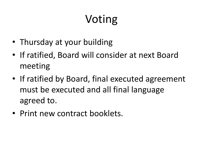# Voting

- Thursday at your building
- If ratified, Board will consider at next Board meeting
- If ratified by Board, final executed agreement must be executed and all final language agreed to.
- Print new contract booklets.